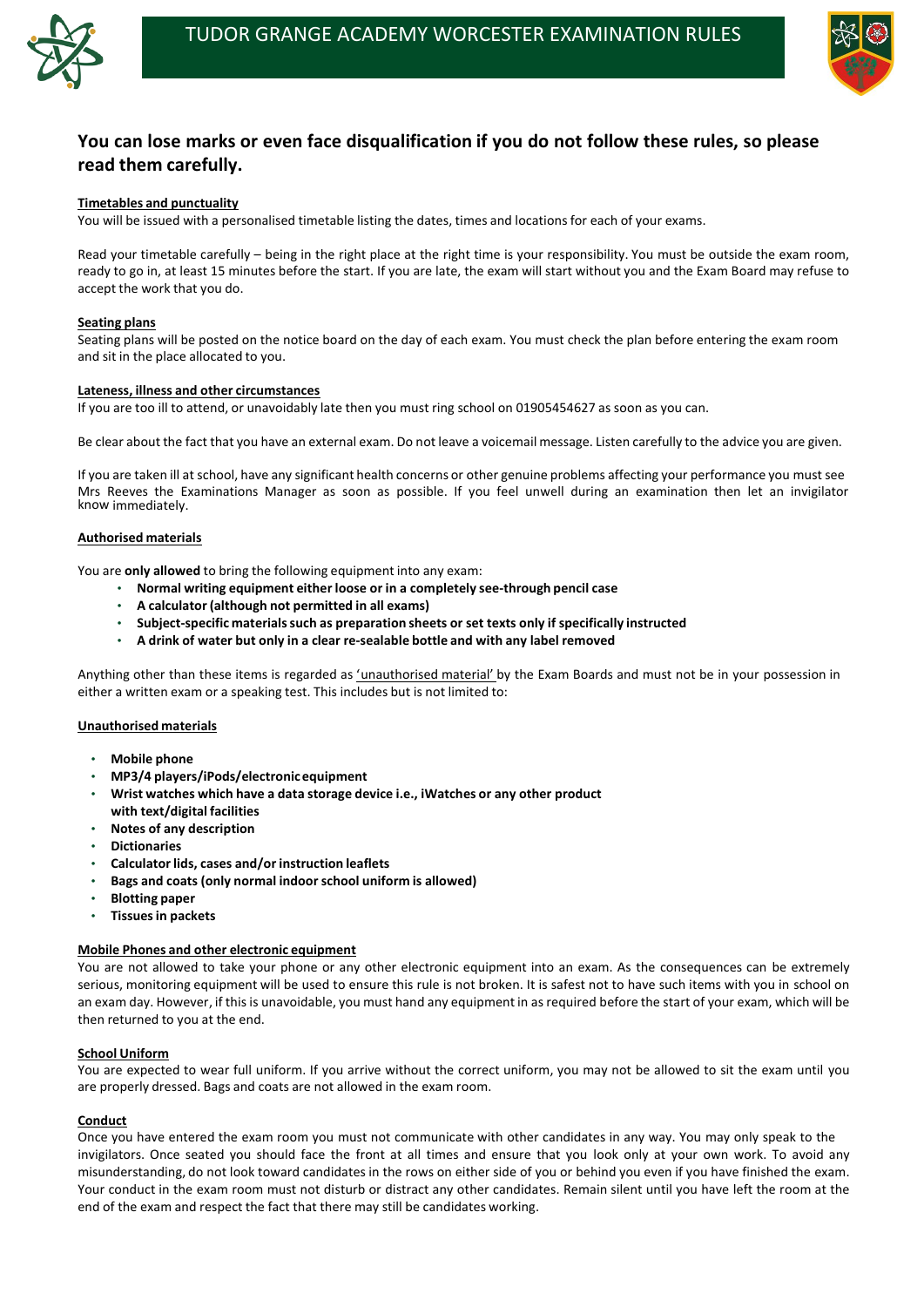



# **You can lose marks or even face disqualification if you do not follow these rules, so please read them carefully.**

# **Timetables and punctuality**

You will be issued with a personalised timetable listing the dates, times and locations for each of your exams.

Read your timetable carefully – being in the right place at the right time is your responsibility. You must be outside the exam room, ready to go in, at least 15 minutes before the start. If you are late, the exam will start without you and the Exam Board may refuse to accept the work that you do.

# **Seating plans**

Seating plans will be posted on the notice board on the day of each exam. You must check the plan before entering the exam room and sit in the place allocated to you.

# **Lateness, illness and other circumstances**

If you are too ill to attend, or unavoidably late then you must ring school on 01905454627 as soon as you can.

Anything other than these items is regarded as 'unauthorised material' by the Exam Boards and must not be in your possession in either a written exam or a speaking test. This includes but is not limited to:

Be clear about the fact that you have an external exam. Do not leave a voicemail message. Listen carefully to the advice you are given.

If you are taken ill at school, have any significant health concerns or other genuine problems affecting your performance you mustsee Mrs Reeves the Examinations Manager as soon as possible. If you feel unwell during an examination then let an invigilator know immediately.

# **Authorised materials**

You are **only allowed** to bring the following equipment into any exam:

- **Normal writing equipment either loose or in a completely see-through pencil case**
- **A calculator (although not permitted in all exams)**
- **Subject-specific materialssuch as preparation sheets or set texts only if specifically instructed**
- **A drink of water but only in a clear re-sealable bottle and with any label removed**

# **Unauthorised materials**

- **Mobile phone**
- **MP3/4 players/iPods/electronicequipment**
- **Wrist watches which have a data storage device i.e., iWatches or any other product with text/digital facilities**
- **Notes of any description**
- **Dictionaries**
- **Calculator lids, cases and/or instruction leaflets**
- **Bags and coats (only normal indoorschool uniform is allowed)**
- **Blotting paper**
- **Tissuesin packets**

# **Mobile Phones and other electronic equipment**

You are not allowed to take your phone or any other electronic equipment into an exam. As the consequences can be extremely serious, monitoring equipment will be used to ensure this rule is not broken. It is safest not to have such items with you in school on an exam day. However, if this is unavoidable, you must hand any equipment in as required before the start of your exam, which will be then returned to you at the end.

#### **School Uniform**

You are expected to wear full uniform. If you arrive without the correct uniform, you may not be allowed to sit the exam until you are properly dressed. Bags and coats are not allowed in the exam room.

#### **Conduct**

Once you have entered the exam room you must not communicate with other candidates in any way. You may only speak to the invigilators. Once seated you should face the front at all times and ensure that you look only at your own work. To avoid any misunderstanding, do not look toward candidates in the rows on either side of you or behind you even if you have finished the exam. Your conduct in the exam room must not disturb or distract any other candidates. Remain silent until you have left the room at the end of the exam and respect the fact that there may still be candidates working.